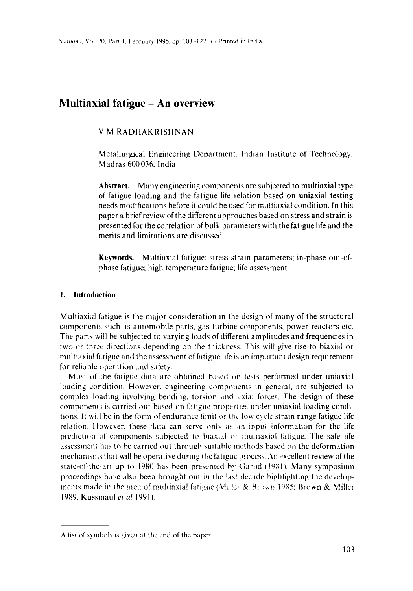# **Multiaxial fatigue - An overview**

# V M RADHAKRISHNAN

Metallurgical Engineering Department, Indian Institute of Technology, Madras 600036, India

Abstract. Many engineering components are subjected to multiaxial type of fatigue loading and the fatigue life relation based on uniaxial testing needs modifications before it could be used for multiaxia! condition. In this paper a brief review of the different approachcs based on stress and strain is presented for the correlation of bulk parameters with the fatigue life and the merits and limitations are discussed.

Keywords. Multiaxial fatigue; stress-strain parameters; in-phase out-ofphase fatigue; high temperature fatigue; life assessment.

# **I. Introduction**

Multiaxial fatigue is the major consideration in the design of many of the structural components such as automobile parts, gas turbine components, power reactors etc. The parts will be subjected to varying loads of different amplitudes and frequencies in two or three directions depending on the thickness. This will give rise to biaxiat or multiaxial fatigue and the assessment of fatigue life is an important design requirement for reliable operation and safety.

Most of the fatigue data are obtained based on tests performed under uniaxial loading condition. However, engineering components in general, are subjected to complex loading involving bending, torsion and axial forces. The design of these componenls is carried out based on fatigue properties under uniaxial loading conditions. It will be in the form of endurance limit or the low cycle strain range fatigue life relation. However, these data can serve only as an input information for the life prediction of components subjected to biaxial or multiaxial fatigue. The safe life assessment has to be carried out througb suitable methods based on the deformation mechanisms that will be operative during the fatigue process. An excellent review of the state-of-the-art up to 1980 has been presented by Garing (1981). Many symposium proceedings have also been brought out in the last decade highlighting the developments made in the area of multiaxial fatigue (Miller & Brown 1985; Brown & Miller 1989: Kussmaul *et al* 1991 ).

A list of symbols is given at the end of the paper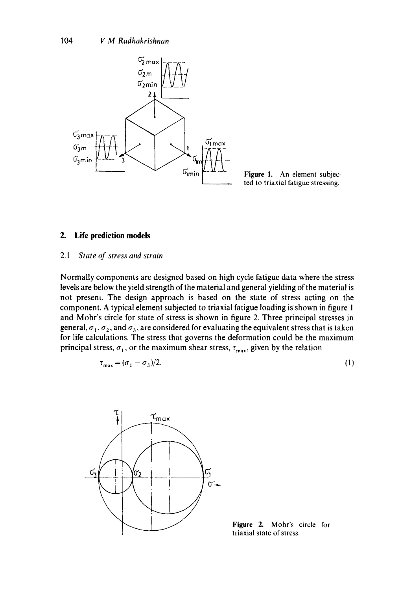

Figure 1. An element subjected to triaxial fatigue stressing.

# **2. Life prediction models**

## *2.1 State of stress and strain*

Normally components are designed based on high cycle fatigue data where the stress levels are below the yield strength of the material and general yielding of the material is not present. The design approach is based on the state of stress acting on the component. A typical element subjected to triaxial fatigue loading is shown in figure 1 and Mohr's circle for state of stress is shown in figure 2. Three principal stresses in general,  $\sigma_1$ ,  $\sigma_2$ , and  $\sigma_3$ , are considered for evaluating the equivalent stress that is taken for life calculations. The stress that governs the deformation could be the maximum principal stress,  $\sigma_1$ , or the maximum shear stress,  $\tau_{\text{max}}$ , given by the relation

$$
\tau_{\text{max}} = (\sigma_1 - \sigma_3)/2. \tag{1}
$$



**Figure** 2. Mohr's circle for triaxial state of stress.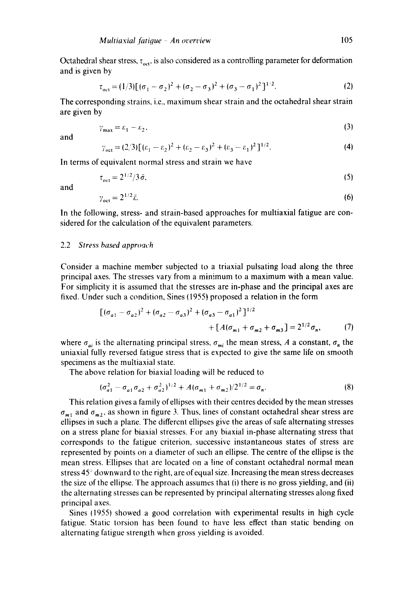Octahedral shear stress,  $\tau_{\text{act}}$ , is also considered as a controlling parameter for deformation and is given by

$$
\tau_{\text{oct}} = (1/3) [(\sigma_1 - \sigma_2)^2 + (\sigma_2 - \sigma_3)^2 + (\sigma_3 - \sigma_1)^2]^{1/2}.
$$
 (2)

The corresponding strains, i.e., maximum shear strain and the octahedral shear strain are given by

$$
\gamma_{\text{max}} = \varepsilon_1 - \varepsilon_2. \tag{3}
$$

and

$$
\gamma_{\text{oct}} = (2/3) \left[ (\varepsilon_1 - \varepsilon_2)^2 + (\varepsilon_2 - \varepsilon_3)^2 + (\varepsilon_3 - \varepsilon_1)^2 \right]^{1/2}.
$$
 (4)

In terms of equivalent normal stress and strain we have

$$
\tau_{\text{oct}} = 2^{1/2}/3\,\bar{\sigma},\tag{5}
$$

and

$$
\gamma_{\text{oct}} = 2^{1/2} \bar{\varepsilon}.\tag{6}
$$

In the following, stress- and strain-based approaches for multiaxial fatigue are considered for the calculation of the equivalent parameters.

### 2.2 *Stress based approach*

Consider a machine member subjected to a triaxial pulsating load along the three principal axes. The stresses vary from a minimum to a maximum with a mean value. For simplicity it is assumed that the stresses are in-phase and the principal axes are fixed. Under such a condition, Sines (1955) proposed a relation in the form

$$
\begin{aligned} \left[ (\sigma_{a1} - \sigma_{a2})^2 + (\sigma_{a2} - \sigma_{a3})^2 + (\sigma_{a3} - \sigma_{a1})^2 \right]^{1/2} \\ + \left[ A(\sigma_{m1} + \sigma_{m2} + \sigma_{m3}) \right] &= 2^{1/2} \sigma_n, \end{aligned} \tag{7}
$$

where  $\sigma_{ai}$  is the alternating principal stress,  $\sigma_{mi}$  the mean stress, A a constant,  $\sigma_n$  the uniaxial fully reversed fatigue stress that is expected to give the same life on smooth specimens as the multiaxial state.

The above relation for biaxial loading will be reduced to

$$
(\sigma_{a1}^2 - \sigma_{a1}\sigma_{a2} + \sigma_{a2}^2)^{1/2} + A(\sigma_{m1} + \sigma_{m2})/2^{1/2} = \sigma_n.
$$
 (8)

This relation gives a family of ellipses with their centres decided by the mean stresses  $\sigma_{m1}$  and  $\sigma_{m2}$ , as shown in figure 3. Thus, lines of constant octahedral shear stress are ellipses in such a plane. The different ellipses give the areas of safe alternating stresses on a stress plane for biaxial stresses. For any biaxial in-phase alternating stress that corresponds to the fatigue criterion, successive instantaneous states of stress are represented by points on a diameter of such an ellipse. The centre of the ellipse is the mean stress. Ellipses that are located on a line of constant octahedral normal mean stress 45° downward to the right, are of equal size. Increasing the mean stress decreases the size of the ellipse. The approach assumes that (ij there is no gross yielding, and (ii) the alternating stresses can be represented by principal alternating stresses along fixed principal axes.

Sines 11955) showed a good correlation with experimental results in high cycle fatigue. Static torsion has been found to have less effect than static bending on alternating fatigue strength when gross yielding is avoided.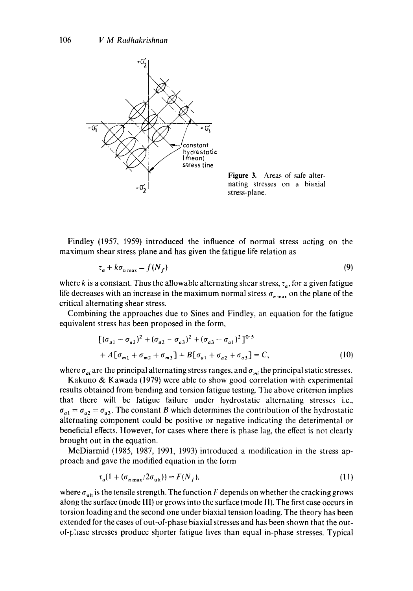

Figure 3. Areas of safe alter nating stresses on a biaxial stress-plane.

Findley (1957, 1959) introduced the influence of normal stress acting on the maximum shear stress plane and has given the fatigue life relation as

$$
\tau_a + k \sigma_{n \max} = f(N_f) \tag{9}
$$

where k is a constant. Thus the allowable alternating shear stress,  $\tau_a$ , for a given fatigue life decreases with an increase in the maximum normal stress  $\sigma_{n \max}$  on the plane of the critical alternating shear stress.

Combining the approaches due to Sines and Findley, an equation for the fatigue equivalent stress has been proposed in the form,

$$
[(\sigma_{a1} - \sigma_{a2})^2 + (\sigma_{a2} - \sigma_{a3})^2 + (\sigma_{a3} - \sigma_{a1})^2]^{0.5}
$$
  
+  $A[\sigma_{m1} + \sigma_{m2} + \sigma_{m3}] + B[\sigma_{a1} + \sigma_{a2} + \sigma_{a3}] = C,$  (10)

where  $\sigma_{ai}$  are the principal alternating stress ranges, and  $\sigma_{mi}$  the principal static stresses.

Kakuno & Kawada (1979) were able to show good correlation with experimental results obtained from bending and torsion fatigue testing. The above criterion implies that there will be fatigue failure under hydrostatic alternating stresses i.e.,  $\sigma_{a1} = \sigma_{a2} = \sigma_{a3}$ . The constant B which determines the contribution of the hydrostatic alternating component could be positive or negative indicating the deterimental or beneficial effects. However, for cases where there is phase lag, the effect is not clearly brought out in the equation.

McDiarmid (1985, 1987, 1991, 1993) introduced a modification in the stress approach and gave the modified equation in the form

$$
\tau_a(1 + (\sigma_{n \max}/2\sigma_{\text{ult}})) = F(N_f),\tag{11}
$$

where  $\sigma_{\text{ult}}$  is the tensile strength. The function F depends on whether the cracking grows along the surface (mode III) or grows into the surface (mode I1). The first case occurs in torsion loading and the second one under biaxial tension loading. The theory has been extended for the cases of out-of-phase biaxial stresses and has been shown that the outof-phase stresses produce shorter fatigue lives than equal in-phase stresses. Typical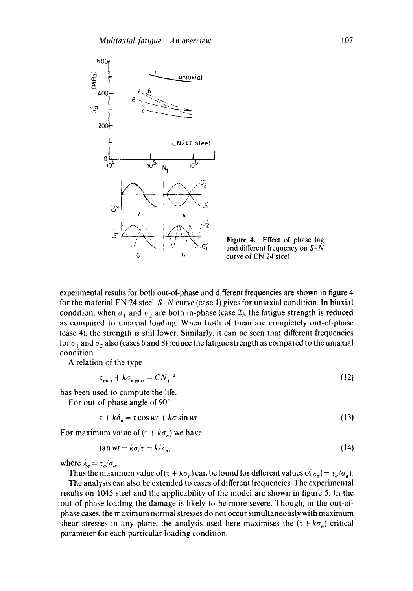

**Figure** 4. Effect of phase lag and different frequency on  $S - N$ curve of EN 24 steel.

experimental results for both out-of-phase and different frequencies are shown in figure 4 for the material EN 24 steel.  $S - N$  curve (case 1) gives for uniaxial condition. In biaxial condition, when  $\sigma_1$  and  $\sigma_2$  are both in-phase (case 2), the fatigue strength is reduced as compared to uniaxial loading. When both of them are completely out-of-phase (case 4), the strength is still lower. Similarly, it can be seen that different frequencies for  $\sigma_1$  and  $\sigma_2$  also (cases 6 and 8) reduce the fatigue strength as compared to the uniaxial condition.

A relation of the type

$$
\tau_{\text{max}} + k \sigma_{n \text{ max}} = C N_f^{-\alpha} \tag{12}
$$

has been used to compute the life. For out-of-phase angle of  $90^\circ$ 

 $\tau + k\delta_n = \tau \cos wt + k\sigma \sin wt$  (13)

For maximum value of  $(\tau + k\sigma_n)$  we have

$$
\tan wt = k\sigma/\tau = k/\lambda_{\sigma},\tag{14}
$$

where  $\lambda_{\sigma} = \tau_a/\sigma_a$ .

Thus the maximum value of  $(\tau + k\sigma_n)$  can be found for different values of  $\lambda_{\sigma}$  ( $=\tau_a/\sigma_a$ ).

The analysis can also be extended to cases of different frequencies. The experimental results on 1045 steel and the applicability of the model are shown in figure 5. In the out-of-phase loading the damage is likely to be more severe. Though, in the out-ofphase cases, the maximum normal stresses do not occur simultaneously with maximum shear stresses in any plane, the analysis used here maximises the  $(\tau + k\sigma_n)$  critical parameter for each particular loading condition.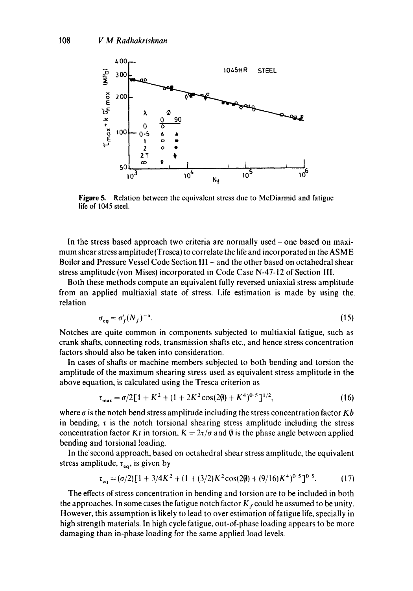

**Figure** 5. Relation between the equivalent stress due to McDiarmid and fatigue life of 1045 steel.

In the stress based approach two criteria are normally used - one based on maximum shear stress amplitude(Tresca) to correlate the life and incorporated in the ASME Boiler and Pressure Vessel Code Section III - and the other based on octahedral shear stress amplitude (yon Mises) incorporated in Code Case N-47-12 of Section 1II.

Both these methods compute an equivalent fully reversed uniaxial stress amplitude from an applied multiaxial state of stress. Life estimation is made by using the relation

$$
\sigma_{\mathbf{e}\mathbf{a}} = \sigma_f'(N_f)^{-\alpha}.\tag{15}
$$

Notches are quite common in components subjected to multiaxial fatigue, such as crank shafts, connecting rods, transmission shafts etc., and hence stress concentration factors should also be taken into consideration.

In cases of shafts or machine members subjected to both bending and torsion the amplitude of the maximum shearing stress used as equivalent stress amplitude in the above equation, is calculated using the Tresca criterion as

$$
\tau_{\text{max}} = \sigma/2[1 + K^2 + (1 + 2K^2 \cos(2\theta) + K^4)^{0.5}]^{1/2},\tag{16}
$$

where  $\sigma$  is the notch bend stress amplitude including the stress concentration factor  $Kb$ in bending,  $\tau$  is the notch torsional shearing stress amplitude including the stress concentration factor *Kt* in torsion,  $K = 2\tau/\sigma$  and  $\emptyset$  is the phase angle between applied bending and torsional loading.

In the second approach, based on octahedral shear stress amplitude, the equivalent stress amplitude,  $\tau_{eq}$ , is given by

$$
\tau_{eq} = (\sigma/2)[1 + 3/4K^2 + (1 + (3/2)K^2 \cos(2\theta) + (9/16)K^4)^{0.5}]^{0.5}.
$$
 (17)

The effects of stress concentration in bending and torsion are to be included in both the approaches. In some cases the fatigue notch factor  $K_f$  could be assumed to be unity. However, this assumption is likely to lead to over estimation of fatigue life, specially in high strength materials. In high cycle fatigue, out-of-phase loading appears to be more damaging than in-phase loading for the same applied load levels.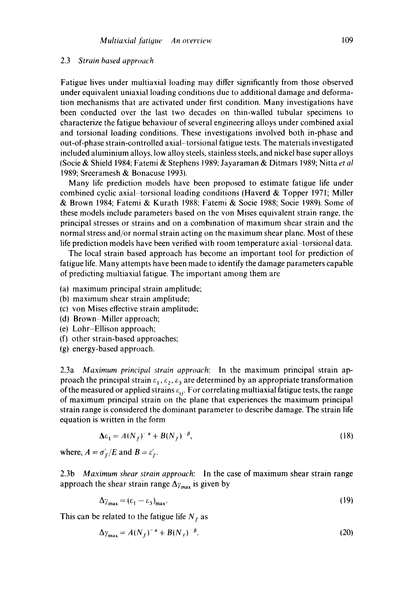#### 2.3 *Strain based approach*

Fatigue lives under multiaxial loading may differ significantly from those observed under equivalent uniaxial loading conditions due to additional damage and deformation mechanisms that are activated under first condition. Many investigations have been conducted over the last two decades on thin-walled tubular specimens to characterize the fatigue behaviour of several engineering alloys under combined axial and torsional loading conditions. These investigations involved both in-phase and out-of-phase strain-controlled axial-torsional fatigue tests. The materials investigated included aluminium alloys, low alloy steels, stainless steels, and nickel base super alloys (Socie & Shield 1984; Fatemi & Stephens 1989; Jayaraman & Ditmars 1989; Nitta *et al*  1989; Sreeramesh & Bonacuse 1993).

Many life prediction models have been proposed to estimate fatigue life under combined cyclic axial-torsional loading conditions (Haverd & Topper 1971; Miller & Brown 1984; Fatemi & Kurath 1988; Fatemi & Socie 1988; Socie 19891. Some of these models include parameters based on the von Mises equivalent strain range, the principal stresses or strains and on a combination of maximum shear strain and the normal stress and/or normal strain acting on the maximum shear plane. Most of these life prediction models have been verified with room temperature axial-torsional data.

The local strain based approach has become an important tool for prediction of fatigue life. Many attempts have been made to identify the damage parameters capable of predicting multiaxial fatigue. The important among them are

- (a) maximum principal strain amplitude;
- (b) maximum shear strain amplitude;
- [c) yon Mises effective strain amplitude;
- $(d)$  Brown-Miller approach;
- (e) Lohr-Ellison approach;
- (f) other strain-based approaches;
- $(g)$  energy-based approach.

2.3a *Maximum principal strain approach:* In the maximum principal strain approach the principal strain  $\varepsilon_1$ ,  $\varepsilon_2$ ,  $\varepsilon_3$  are determined by an appropriate transformation of the measured or applied strains  $\varepsilon_{ij}$ . For correlating multiaxial fatigue tests, the range of maximum principal strain on the plane that experiences the maximum principal strain range is considered the dominant parameter to describe damage. The strain life equation is written in the form

$$
\Delta \varepsilon_1 = A(N_f)^{-\alpha} + B(N_f)^{-\beta},\tag{18}
$$

where,  $A = \sigma'_r / E$  and  $B = \varepsilon'_r$ .

2.3b *Maximum shear strain approach:* In the case of maximum shear strain range approach the shear strain range  $\Delta_{\gamma_{\text{max}}}$  is given by

$$
\Delta \gamma_{\text{max}} = (\varepsilon_1 - \varepsilon_3)_{\text{max}}.\tag{19}
$$

This can be related to the fatigue life  $N_f$  as

$$
\Delta \gamma_{\text{max}} = A(N_f)^{-\alpha} + B(N_f)^{-\beta}.
$$
 (20)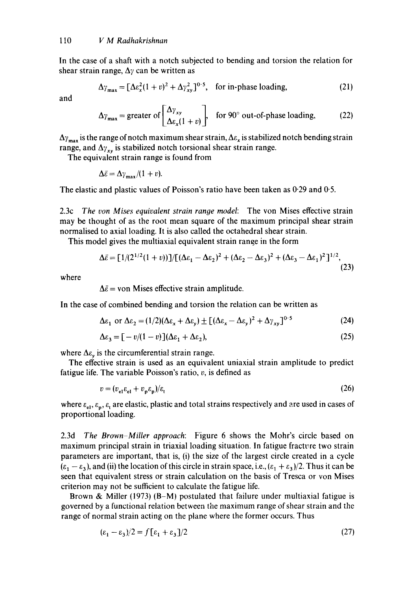In the case of a shaft with a notch subjected to bending and torsion the relation for shear strain range,  $\Delta \gamma$  can be written as

$$
\Delta \gamma_{\text{max}} = [\Delta \varepsilon_x^2 (1+v)^2 + \Delta \gamma_{xy}^2]^{0.5}, \text{ for in-phase loading,}
$$
 (21)

and

$$
\Delta \gamma_{\text{max}} = \text{greater of} \begin{bmatrix} \Delta \gamma_{xy} \\ \Delta \epsilon_x (1+v) \end{bmatrix}, \text{ for 90° out-of-phase loading,} \tag{22}
$$

 $\Delta\gamma_{\text{max}}$  is the range of notch maximum shear strain,  $\Delta\varepsilon_{x}$  is stabilized notch bending strain range, and  $\Delta_{\gamma_{xy}}$  is stabilized notch torsional shear strain range.

The equivalent strain range is found from

$$
\Delta \bar{\varepsilon} = \Delta \gamma_{\text{max}} / (1 + v).
$$

The elastic and plastic values of Poisson's ratio have been taken as  $0.29$  and  $0.5$ .

2.3c *The yon Mises equivalent strain range model:* The von Mises effective strain may be thought of as the root mean square of the maximum principal shear strain normalised to axial loading. It is also called the octahedral shear strain.

This model gives the multiaxial equivalent strain range in the form

$$
\Delta \bar{\varepsilon} = [1/(2^{1/2}(1+\nu))] / [(\Delta \varepsilon_1 - \Delta \varepsilon_2)^2 + (\Delta \varepsilon_2 - \Delta \varepsilon_3)^2 + (\Delta \varepsilon_3 - \Delta \varepsilon_1)^2]^{1/2},
$$
\n(23)

where

 $\Delta \bar{\varepsilon}$  = von Mises effective strain amplitude.

In the case of combined bending and torsion the relation can be written as

$$
\Delta \varepsilon_1 \text{ or } \Delta \varepsilon_2 = (1/2)(\Delta \varepsilon_x + \Delta \varepsilon_y) \pm [(\Delta \varepsilon_x - \Delta \varepsilon_y)^2 + \Delta \gamma_{xy}]^{0.5}
$$
 (24)

$$
\Delta \varepsilon_3 = [-v/(1-v)](\Delta \varepsilon_1 + \Delta \varepsilon_2), \tag{25}
$$

where  $\Delta \varepsilon$ <sub>v</sub> is the circumferential strain range.

The effective strain is used as an equivalent uniaxial strain amplitude to predict fatigue life. The variable Poisson's ratio,  $v$ , is defined as

$$
v = (v_{\rm el} \varepsilon_{\rm el} + v_{\rm p} \varepsilon_{\rm p})/\varepsilon_{\rm t} \tag{26}
$$

where  $\varepsilon_{el}$ ,  $\varepsilon_{p}$ ,  $\varepsilon_{t}$  are elastic, plastic and total strains respectively and are used in cases of proportional loading.

2.3d *The Brown-Miller approach:* Figure 6 shows the Mohr's circle based on maximum principal strain in triaxial loading situation. In fatigue fractvre two strain parameters are important, that is, (i) the size of the largest circle created in a cycle  $(\epsilon_1 - \epsilon_3)$ , and (ii) the location of this circle in strain space, i.e.,  $(\epsilon_1 + \epsilon_3)/2$ . Thus it can be seen that equivalent stress or strain calculation on the basis of Tresca or von Mises criterion may not be sufficient to calculate the fatigue life.

Brown & Miller (1973) (B-M) postulated that failure under multiaxial fatigue is governed by a functional relation between the maximum range of shear strain and the range of normal strain acting on the plane where the former occurs. Thus

$$
(\varepsilon_1 - \varepsilon_3)/2 = f[\varepsilon_1 + \varepsilon_3]/2 \tag{27}
$$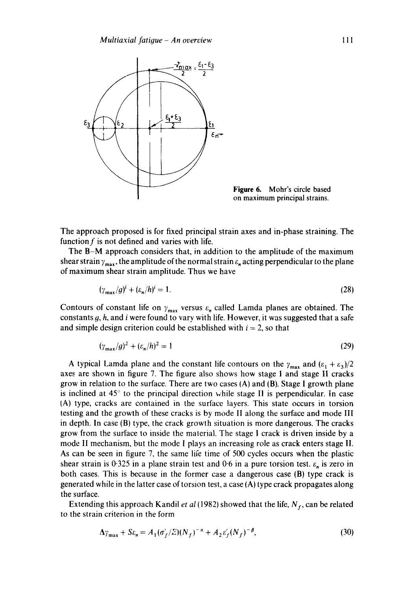

Figure 6. Mohr's circle based on maximum principal strains.

The approach proposed is for fixed principal strain axes and in-phase straining. The function  $f$  is not defined and varies with life.

The B-M approach considers that, in addition to the amplitude of the maximum shear strain  $\gamma_{\text{max}}$ , the amplitude of the normal strain  $\varepsilon_n$  acting perpendicular to the plane of maximum shear strain amplitude. Thus we have

$$
(\gamma_{\text{max}}/g)^t + (\varepsilon_n/h)^t = 1. \tag{28}
$$

Contours of constant life on  $\gamma_{\text{max}}$  versus  $\varepsilon_n$  called Lamda planes are obtained. The constants  $g, h$ , and i were found to vary with life. However, it was suggested that a safe and simple design criterion could be established with  $i = 2$ , so that

$$
(\gamma_{\text{max}}/g)^2 + (\varepsilon_n/h)^2 = 1\tag{29}
$$

A typical Lamda plane and the constant life contours on the  $\gamma_{\text{max}}$  and  $(\epsilon_1 + \epsilon_3)/2$ axes are shown in figure 7. The figure also shows how stage 1 and stage II cracks grow in relation to the surface. There are two cases (A) and (B). Stage I growth plane is inclined at  $45^\circ$  to the principal direction while stage II is perpendicular, in case (A) type, cracks are contained in the surface layers. This state occurs in torsion testing and the growth of these cracks is by mode II along the surface and mode IIl in depth. In case (B) type, the crack growth situation is more dangerous. The cracks grow from the surface to inside the material. The stage l crack is driven inside by a mode II mechanism, but the mode I plays an increasing role as crack enters stage II. As can be seen in figure 7, the same life time of 500 cycles occurs when the plastic shear strain is 0.325 in a plane strain test and 0.6 in a pure torsion test.  $\varepsilon_n$  is zero in both cases. This is because in the former case a dangerous case (B) type crack is generated while in the latter case of torsion test, a case (A) type crack propagates along the surface.

Extending this approach Kandil *et al* (1982) showed that the life,  $N_f$ , can be related to the strain criterion in the form

$$
\Delta \gamma_{\text{max}} + S \varepsilon_n = A_1 (\sigma_f^{\prime}/\Sigma)(N_f)^{-\alpha} + A_2 \varepsilon_f^{\prime}(N_f)^{-\beta},\tag{30}
$$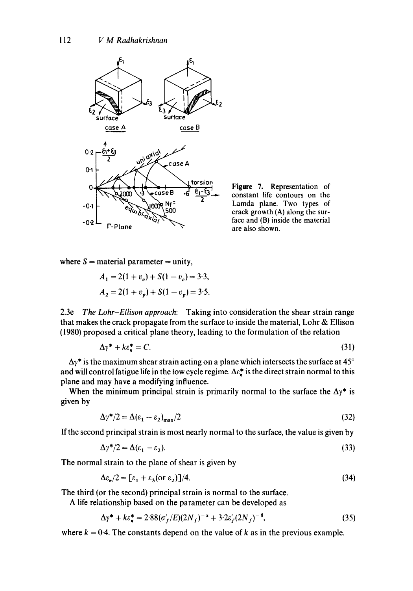

**Figure 7.** Representation of constant life contours on the Lamda plane. Two types of crack growth (A) along the surface and (B) inside the material are also shown.

where  $S =$  material parameter  $=$  unity,

$$
A_1 = 2(1 + v_e) + S(1 - v_e) = 3.3,
$$
  

$$
A_2 = 2(1 + v_p) + S(1 - v_p) = 3.5.
$$

2.3e *The Lohr-Ellison approach:* Taking into consideration the shear strain range that makes the crack propagate from the surface to inside the material, Lohr & Ellison (1980) proposed a critical plane theory, leading to the formulation of the relation

$$
\Delta \gamma^* + k \varepsilon_n^* = C. \tag{31}
$$

 $\Delta \gamma^*$  is the maximum shear strain acting on a plane which intersects the surface at 45 $^{\circ}$ and will control fatigue life in the low cycle regime.  $\Delta \varepsilon_n^*$  is the direct strain normal to this plane and may have a modifying influence.

When the minimum principal strain is primarily normal to the surface the  $\Delta \gamma^*$  is given by

$$
\Delta \gamma^*/2 = \Delta(\varepsilon_1 - \varepsilon_2)_{\text{max}}/2 \tag{32}
$$

If the second principal strain is most nearly normal to the surface, the value is given by

$$
\Delta \gamma^* / 2 = \Delta(\varepsilon_1 - \varepsilon_2). \tag{33}
$$

The normal strain to the plane of shear is given by

$$
\Delta \varepsilon_n / 2 = \left[ \varepsilon_1 + \varepsilon_3 (\text{or } \varepsilon_2) \right] / 4. \tag{34}
$$

The third (or the second) principal strain is normal to the surface.

A life relationship based on the parameter can be developed as

$$
\Delta \gamma^* + k \varepsilon_n^* = 2.88 (\sigma_f'/E)(2N_f)^{-\alpha} + 3.2\varepsilon_f'(2N_f)^{-\beta},\tag{35}
$$

where  $k = 0.4$ . The constants depend on the value of k as in the previous example.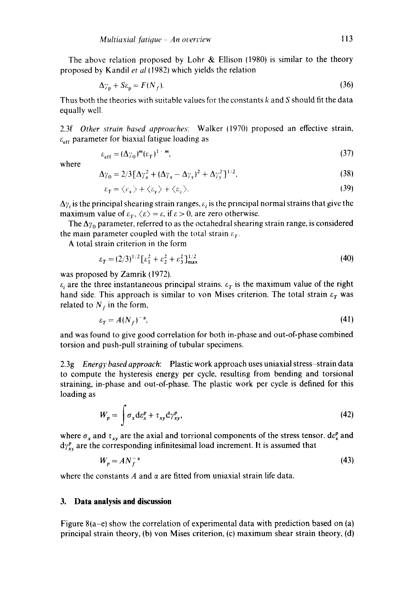The above relation proposed by Lohr & Ellison (1980) is similar to the theory proposed by Kandil *et al* (1982) which yields the relation

$$
\Delta_{\gamma_{\mathbf{p}}} + S \varepsilon_{\mathbf{p}} = F(N_f). \tag{36}
$$

Thus both the theories with suitable values for the constants  $k$  and  $S$  should fit the data equally well.

2.3f *Other strain based approaches:*  Walker (1970) proposed an effective strain,  $\varepsilon_{\text{eff}}$  parameter for biaxial fatigue loading as

$$
\varepsilon_{\rm eff} = (\Delta \gamma_0)^m (\varepsilon_T)^{1-m},\tag{37}
$$

where

$$
\Delta \gamma_0 = 2/3 \left[ \Delta \gamma_x^2 + (\Delta \gamma_x - \Delta \gamma_y)^2 + \Delta \gamma_y^2 \right]^{1/2}.
$$
 (38)

$$
\varepsilon_T = \langle \varepsilon_x \rangle + \langle \varepsilon_y \rangle + \langle \varepsilon_z \rangle. \tag{39}
$$

 $\Delta y_i$  is the principal shearing strain ranges,  $\varepsilon_i$  is the principal normal strains that give the maximum value of  $\varepsilon_r$ ,  $\langle \varepsilon \rangle = \varepsilon$ , if  $\varepsilon > 0$ , are zero otherwise.

The  $\Delta y_0$  parameter, referred to as the octahedral shearing strain range, is considered the main parameter coupled with the total strain  $\varepsilon_T$ .

A total strain criterion in the form

$$
\varepsilon_T = (2/3)^{1/2} \left[ \varepsilon_1^2 + \varepsilon_2^2 + \varepsilon_3^2 \right]_{\text{max}}^{1/2}
$$
 (40)

was proposed by Zamrik (1972).

 $\varepsilon_i$  are the three instantaneous principal strains,  $\varepsilon_T$  is the maximum value of the right hand side. This approach is similar to von Mises criterion. The total strain  $\varepsilon_T$  was related to  $N_f$  in the form,

$$
\varepsilon_T = A(N_f)^{-\alpha},\tag{41}
$$

and was found to give good correlation for both in-phase and out-of-phase combined torsion and push-pull straining of tubular specimens.

2.3g *Energy based approach:* Plastic work approach uses uniaxial stress-strain data to compute the hysteresis energy per cycle, resulting from bending and torsional straining, in-phase and out-of-phase. The plastic work per cycle is defined for this loading as

$$
W_p = \int \sigma_x \mathrm{d}\epsilon_x^p + \tau_{xy} \mathrm{d}\gamma_{xy}^p,\tag{42}
$$

where  $\sigma_x$  and  $\tau_{xy}$  are the axial and torsional components of the stress tensor, d $\varepsilon_x^p$  and  $dy_{xy}^p$  are the corresponding infinitesimal load increment. It is assumed that

$$
W_p = A N_f^{-\alpha} \tag{43}
$$

where the constants A and  $\alpha$  are fitted from uniaxial strain life data.

### **3. Data analysis and discussion**

Figure  $8(a-e)$  show the correlation of experimental data with prediction based on (a) principal strain theory, (b) von Mises criterion, (c) maximum shear strain theory, (d)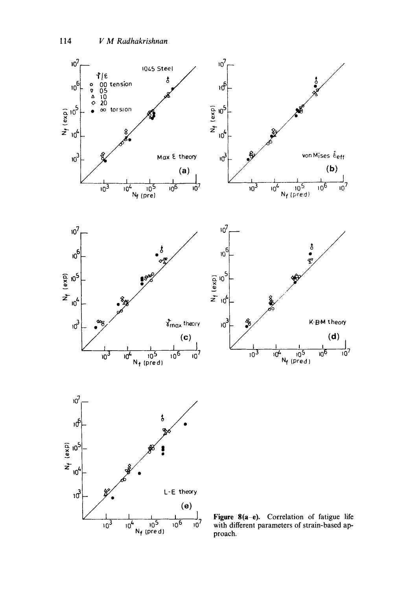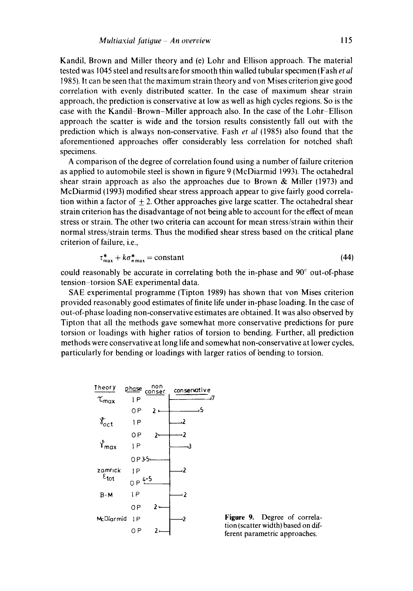**Kandil, Brown and Miller theory and (e) Lohr and Ellison approach. The material**  tested was 1045 steel and results are for smooth thin walled tubular specimen (Fash *et al* 1985). It can be seen that the maximum strain theory and von Mises criterion give good correlation with evenly distributed scatter. In the case of maximum shear strain approach, the prediction is conservative at low as well as high cycles regions. So is the case with the Kandil-Brown-Miller approach also. In the case of the Lohr-Ellison approach the scatter is wide and the torsion results consistently fall out with the prediction which is always non-conservative. Fash *et al* (1985) also found that the aforementioned approaches offer considerably less correlation for notched shaft specimens.

A comparison of the degree of correlation found using a number of failure criterion as applied to automobile steel is shown in figure 9 (McDiarmid 19931. The octahedral shear strain approach as also the approaches due to Brown  $\&$  Miller (1973) and McDiarmid (1993) modified shear stress approach appear to give fairly good correlation within a factor of  $\pm 2$ . Other approaches give large scatter. The octahedral shear strain criterion has the disadvantage of not being able to account for the effect of mean stress or strain. The other two criteria can account for mean stress/strain within their normal stress/strain terms. Thus the modified shear stress based on the critical plane criterion of failure, i.e.,

$$
\tau_{\text{max}}^* + k\sigma_{n\text{max}}^* = \text{constant} \tag{44}
$$

could reasonably be accurate in correlating both the in-phase and  $90^\circ$  out-of-phase tension-torsion SAE experimental data.

SAE experimental programme (Tipton 1989) has shown that von Mises criterion provided reasonably good estimates of finite life under in-phase loading. In the case of out-of-phase loading non-conservative estimates are obtained. It was also observed by Tipton that all the methods gave somewhat more conservative predictions for pure torsion or loadings with higher ratios of torsion to bending. Further, all prediction methods were conservative at long life and somewhat non-conservative at lower cycles, particularly for bending or loadings with larger ratios of bending to torsion.



<sup>2</sup><sub>2</sub> **Figure 9.** Degree of correlation (scatter width) based on different parametric approaches.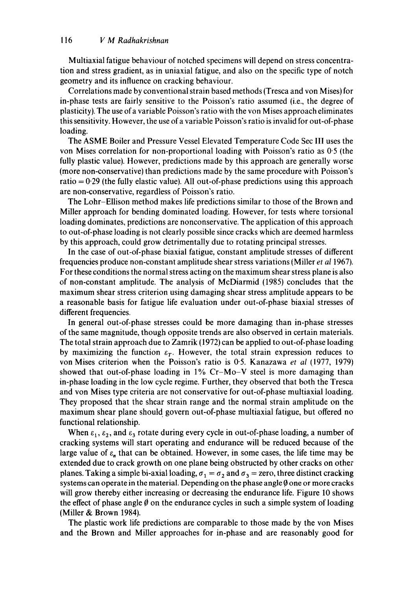Multiaxial fatigue behaviour of notched specimens will depend on stress concentration and stress gradient, as in uniaxial fatigue, and also on the specific type of notch geometry and its influence on cracking behaviour.

Correlations made by conventional strain based methods (Tresca and von Mises) for in-phase tests are fairly sensitive to the Poisson's ratio assumed (i.e., the degree of plasticity). The use of a variable Poisson's ratio with the von Mises approach eliminates this sensitivity. However, the use of a variable Poisson's ratio is invalid for out-of-phase loading.

The ASME Boiler and Pressure Vessel Elevated Temperature Code Sec III uses the von Mises correlation for non-proportional loading with Poisson's ratio as 0.5 (the fully plastic value). However, predictions made by this approach are generally worse (more non-conservative) than predictions made by the same procedure with Poisson's ratio  $= 0.29$  (the fully elastic value). All out-of-phase predictions using this approach are non-conservative, regardless of Poisson's ratio.

The Lohr-Ellison method makes life predictions similar to those of the Brown and Miller approach for bending dominated loading. However, for tests where torsional loading dominates, predictions are nonconservative. The application of this approach to out-of-phase loading is not clearly possible since cracks which are deemed harmless by this approach, could grow detrimentally due to rotating principal stresses.

In the case of out-of-phase biaxial fatigue, constant amplitude stresses of different frequencies produce non-constant amplitude shear stress variations (Miller *et a11967).*  For these conditions the normal stress acting on the maximum shear stress plane is also of non-constant amplitude. The analysis of McDiarmid (1985) concludes that the maximum shear stress criterion using damaging shear stress amplitude appears to be a reasonable basis for fatigue life evaluation under out-of-phase biaxial stresses of different frequencies.

In general out-of-phase stresses could be more damaging than in-phase stresses of the same magnitude, though opposite trends are also observed in certain materials. The total strain approach due to Zamrik (1972) can be applied to out-of-phase loading by maximizing the function  $\varepsilon_T$ . However, the total strain expression reduces to von Mises criterion when the Poisson's ratio is 0"5. Kanazawa *et al* (1977, 1979) showed that out-of-phase loading in 1% Cr-Mo-V steel is more damaging than in-phase loading in the low cycle regime. Further, they observed that both the Tresca and von Mises type criteria are not conservative for out-of-phase multiaxial loading. They proposed that the shear strain range and the normal strain amplitude on the maximum shear plane should, govern out-of-phase multiaxial fatigue, but offered no functional relationship.

When  $\varepsilon_1$ ,  $\varepsilon_2$ , and  $\varepsilon_3$  rotate during every cycle in out-of-phase loading, a number of cracking systems will start operating and endurance will be reduced because of the large value of  $\varepsilon_n$  that can be obtained. However, in some cases, the life time may be extended due to crack growth on one plane being obstructed by other cracks on other planes. Taking a simple bi-axial loading,  $\sigma_1 = \sigma_2$  and  $\sigma_3$  = zero, three distinct cracking systems can operate in the material. Depending on the phase angle  $\emptyset$  one or more cracks will grow thereby either increasing or decreasing the endurance life. Figure 10 shows the effect of phase angle  $\emptyset$  on the endurance cycles in such a simple system of loading (Miller & Brown 1984).

The plastic work life predictions are comparable to those made by the von Mises and the Brown and Miller approaches for in-phase and are reasonably good for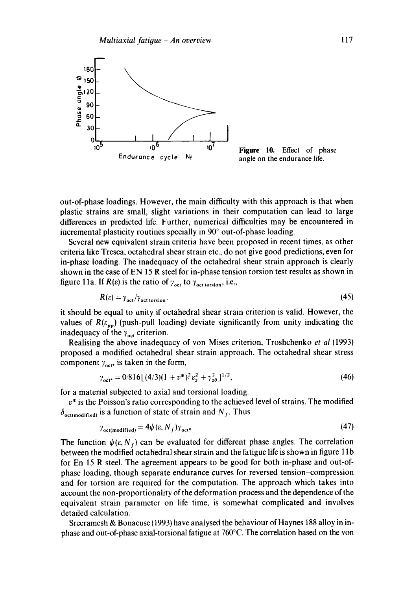

**Figure** 10. Effect of phase angle on the endurance life.

out-of-phase loadings. However, the main difficulty with this approach is that when plastic strains are small, slight variations in their computation can lead to large differences in predicted life. Further, numerical difficulties may be encountered in incremental plasticity routines specially in  $90^\circ$  out-of-phase loading.

Several new equivalent strain criteria have been proposed in recent times, as other criteria like Tresca, octahedral shear strain etc., do not give good predictions, even for in-phase loading. The inadequacy of the octahedral shear strain approach is clearly shown in the case of EN 15 R steel for in-phase tension torsion test results as shown in figure 11a. If  $R(\varepsilon)$  is the ratio of  $\gamma_{\text{oct to } \gamma_{\text{oct torsion}}}$ , i.e.,

$$
R(\varepsilon) = \gamma_{\text{oct}} / \gamma_{\text{oct torsion}}.\tag{45}
$$

it should be equal to unity if octahedral shear strain criterion is valid. However, the values of  $R(\varepsilon_{pp})$  (push-pull loading) deviate significantly from unity indicating the inadequacy of the  $\gamma_{\text{oct}}$  criterion.

Realising the above inadequacy of von Mises criterion, Troshchenko *et al* (1993) proposed a modified octahedral shear strain approach. The octahedral shear stress component  $\gamma_{\text{oct}}$ , is taken in the form,

$$
\gamma_{\text{oct*}} = 0.816[(4/3)(1+v^*)^2 \varepsilon_z^2 + \gamma_{z\theta}^2]^{1/2},\tag{46}
$$

for a material subjected to axial and torsional loading.

 $v^*$  is the Poisson's ratio corresponding to the achieved level of strains. The modified  $\delta_{\text{oct(modified)}}$  is a function of state of strain and  $N_f$ . Thus

$$
\gamma_{\text{oct (modified)}} = 4\psi(\varepsilon, N_f)\gamma_{\text{oct*}} \tag{47}
$$

The function  $\psi(\varepsilon, N_f)$  can be evaluated for different phase angles. The correlation between the modified octahedral shear strain and the fatigue life is shown in figure 1 lb for En 15 R steel. The agreement appears to be good for both in-phase and out-ofphase loading, though separate endurance curves for reversed tension-compression and for torsion are required for the computation. The approach which takes into account the non-proportionality of the deformation process and the dependence of the equivalent strain parameter on life time, is somewhat complicated and involves detailed calculation.

Sreeramesh & Bonacuse (1993) have analysed the behaviour of Haynes 188 alloy in inphase and out-of-phase axial-torsional fatigue at 760°C. The correlation based on the von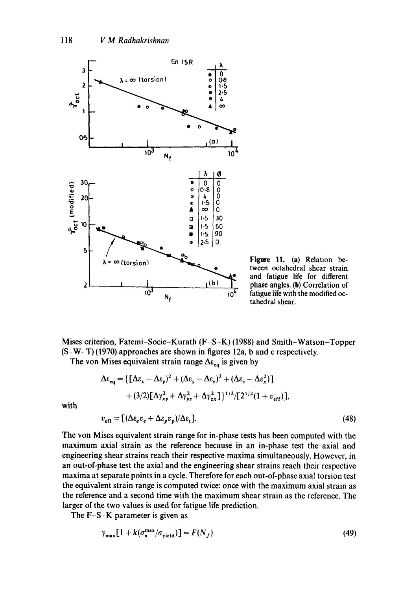

Figure 11. (a) Relation between octahedral shear strain and fatigue life for different phase angles. (b) Correlation of fatigue life with the modified octahedral shear.

Mises criterion, Fatemi-Socie-Kurath (F-S-K) (1988) and Smith-Watson-Topper  $(S-W-T)$  (1970) approaches are shown in figures 12a, b and c respectively.

The von Mises equivalent strain range  $\Delta \varepsilon_{eq}$  is given by

$$
\Delta \varepsilon_{\text{eq}} = \left\{ \left[ \Delta \varepsilon_x - \Delta \varepsilon_y \right)^2 + (\Delta \varepsilon_y - \Delta \varepsilon_z)^2 + (\Delta \varepsilon_z - \Delta \varepsilon_x^2) \right\} + (3/2) \left[ \Delta \gamma_{xy}^2 + \Delta \gamma_{yz}^2 + \Delta \gamma_{zx}^2 \right] \right\}^{1/2} / \left[ 2^{1/2} (1 + v_{\text{eff}}) \right],
$$

with

$$
v_{\rm eff} = \left[ \left( \Delta \varepsilon_e v_e + \Delta \varepsilon_p v_p \right) / \Delta \varepsilon_t \right]. \tag{48}
$$

The yon Mises equivalent strain range for in-phase tests has been computed with the maximum axial strain as the reference because in an in-phase test the axial and engineering shear strains reach their respective maxima simultaneously. However, in an out-of-phase test the axial and the engineering shear strains reach their respective maxima at separate points in a cycle. Therefore for each out-of-phase axia! torsion test the equivalent strain range is computed twice: once with the maximum axial strain as the reference and a second time with the maximum shear strain as the reference. The larger of the two values is used for fatigue life prediction.

The F-S-K parameter is given as

$$
\gamma_{\text{max}}[1 + k(\sigma_n^{\text{max}}/\sigma_{\text{yield}})] = F(N_f) \tag{49}
$$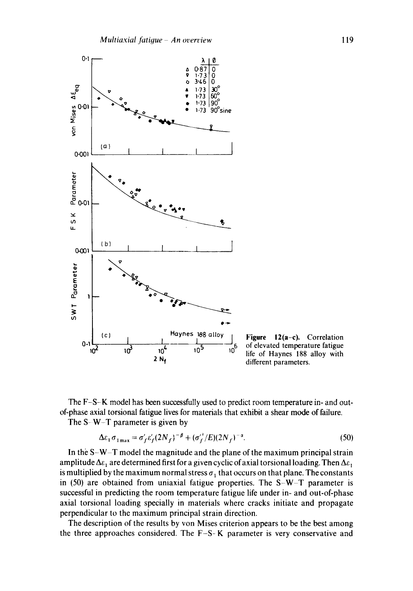

of elevated temperature fatigue different parameters.



The  $S-W-T$  parameter is given by

$$
\Delta \varepsilon_1 \sigma_{1\max} = \sigma_f' \varepsilon_f' (2N_f)^{-\beta} + (\sigma_f'^2 / E)(2N_f)^{-\alpha}.
$$
 (50)

In the  $S-W-T$  model the magnitude and the plane of the maximum principal strain amplitude  $\Delta \varepsilon_1$  are determined first for a given cyclic of axial torsional loading. Then  $\Delta \varepsilon_1$ is multiplied by the maximum normal stress  $\sigma_1$  that occurs on that plane. The constants in  $(50)$  are obtained from uniaxial fatigue properties. The S-W-T parameter is successful in predicting the room temperature fatigue life under in- and out-of-phase axial torsional loading specially in materials where cracks initiate and propagate perpendicular to the maximum principal strain direction.

The description of the results by von Mises criterion appears to be the best among the three approaches considered. The F-S-K parameter is very conservative and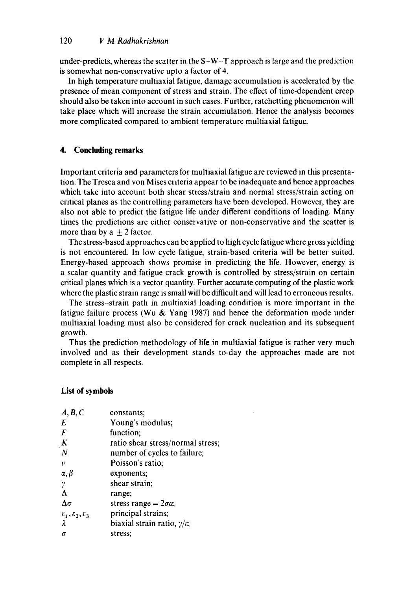under-predicts, whereas the scatter in the S-W-T approach is large and the prediction is somewhat non-conservative upto a factor of 4.

In high temperature multiaxial fatigue, damage accumulation is accelerated by the presence of mean component of stress and strain. The effect of time-dependent creep should also be taken into account in such cases. Further, ratchetting phenomenon will take place which will increase the strain accumulation. Hence the analysis becomes more complicated compared to ambient temperature multiaxial fatigue.

# **4. Concluding remarks**

Important criteria and parameters for multiaxial fatigue are reviewed in this presentation. The Tresca and von Mises criteria appear to be inadequate and hence approaches which take into account both shear stress/strain and normal stress/strain acting on critical planes as the controlling parameters have been developed. However, they are also not able to predict the fatigue life under different conditions of loading. Many times the predictions are either conservative or non-conservative and the scatter is more than by  $a + 2$  factor.

The stress-based approaches can be applied to high cycle fatigue where gross yielding is not encountered. In low cycle fatigue, strain-based criteria will be better suited. Energy-based approach shows promise in predicting the life. However, energy is a scalar quantity and fatigue crack growth is controlled by stress/strain on certain critical planes which is a vector quantity. Further accurate computing of the plastic work where the plastic strain range is small will be difficult and will lead to erroneous results.

The stress-strain path in multiaxial loading condition is more important in the fatigue failure process (Wu & Yang 1987) and hence the deformation mode under multiaxial loading must also be considered for crack nucleation and its subsequent growth.

Thus the prediction methodology of life in multiaxial fatigue is rather very much involved and as their development stands to-day the approaches made are not complete in all respects.

# **List of symbols**

| A, B, C                              | constants;                                   |
|--------------------------------------|----------------------------------------------|
| E                                    | Young's modulus;                             |
| F                                    | function;                                    |
| K                                    | ratio shear stress/normal stress;            |
| $\boldsymbol{N}$                     | number of cycles to failure;                 |
| $\boldsymbol{v}$                     | Poisson's ratio;                             |
| $\alpha, \beta$                      | exponents;                                   |
| γ                                    | shear strain;                                |
| $\Lambda$                            | range:                                       |
| $\Delta \sigma$                      | stress range = $2\sigma a$ ;                 |
| $\epsilon_1, \epsilon_2, \epsilon_3$ | principal strains;                           |
| λ                                    | biaxial strain ratio, $\gamma/\varepsilon$ ; |
| $\sigma$                             | stress:                                      |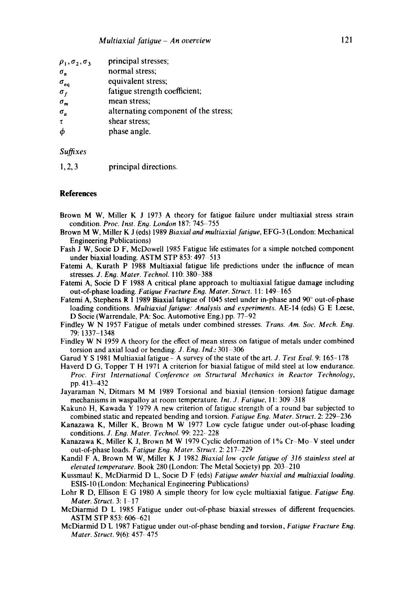| $\rho_1, \sigma_2, \sigma_3$   | principal stresses;                  |
|--------------------------------|--------------------------------------|
| $\sigma_{\bf r}$               | normal stress;                       |
|                                | equivalent stress;                   |
| $\frac{\sigma_{eq}}{\sigma_f}$ | fatigue strength coefficient;        |
| $\sigma_m$                     | mean stress;                         |
| $\sigma_a$                     | alternating component of the stress; |
| $\tau$                         | shear stress;                        |
| φ                              | phase angle.                         |

*Suffixes* 

1,2, 3 principal directions.

### **References**

- Brown M W, Miller K J 1973 A theory for fatigue failure under multiaxial stress strain condition. *Proc. Inst. Eng. London* 187:745-755
- Brown M W, Miller K J (eds) 1989 *Biaxial and multiaxial fatigue,* EFG-3 (London: Mechanical Engineering Publications)
- Fash J W, Socie D F, McDowell 1985 Fatigue life estimates for a simple notched component under biaxial loading. ASTM STP 853: 497-513
- Fatemi A, Kurath P 1988 Multiaxial fatigue life predictions under the influence of mean stresses. *J. Eng. Mater. Technol.* 110: 380-388
- Fatemi A, Socie D F 1988 A critical plane approach to multiaxial fatigue damage including out-of-phase loading. *Fatique Fracture Eng. Mater. Struct.* 11: 149-165
- Fatemi A, Stephens R I 1989 Biaxial fatigue of 1045 steel under in-phase and 90° out-of-phase loading conditions. *Multiaxial fatique: Analysis and experiments*. AE-14 (eds) G E Leese, D Socie (Warrendale, PA: Soc. Automotive Eng.) pp. 77--92
- Findley W N 1957 Fatigue of metals under combined stresses. *Trans. Am. Soc. Mech. Eng.*  79:1337-1348
- Findley W N 1959 A theory for the effect of mean stress on fatigue of metals under combined torsion and axial load or bending. *J. Eng. Ind.:* 301-306
- Garud Y S 1981 Multiaxial fatigue A survey of the state of the art. *J. Test Eval.* 9: 165-178
- Haverd D G, Topper T H 1971 A criterion for biaxial fatigue of mild steel at low endurance. *Proc. First International Conference on Structural Mechanics in Reactor Technology,*  pp. 413-432
- Jayaraman N, Ditmars M M 1989 Torsional and biaxial (tension -torsion) fatigue damage mechanisms in waspalloy at room temperature. *Int. J. Fatigue,* 11:309 -318
- Kakuno H, Kawada Y 1979 A new criterion of fatigue strength of a round bar subjected to combined static and repeated bending and torsion. *Fatigue Eng. Mater. Struct.* 2:229-236
- Kanazawa K, Miller K, Brown M W 1977 Low cycle fatigue under out-of-phase loading conditions. J. *Eng. Mater. Technol.* 99: 222- 228
- Kanazawa K, Miller K J, Brown M W 1979 Cyclic deformation of 1% Cr-Mo-V steel under out-of-phase loads. *Fatioue Eng. Mater. Struct.* 2:217--229
- Kandil F A, Brown M W, Miller K J 1982 *Biaxial low cycle fatigue of 316 stainless steel at elevated temperature.* Book 280 (London: The Metal Society) pp. 203-210
- Kussmaul K, McDiarmid D L, Socie D F (eds) *Fatigue under biaxial and multiaxial loading*. ESIS-10 (London: Mechanical Engineering Publications)
- Lohr R D, Ellison E G 1980 A simple theory for low cycle multiaxial fatigue. *Fatigue Eng. Mater. Struct.* 3: 1-17
- McDiarmid D L 1985 Fatigue under out-of-phase biaxial stresses of different frequencies. ASTM STP 853:606-621
- McDiarmid D L 1987 Fatigue under out-of-phase bending and torsion, *Fatigue Fracture Eng. Mater. Struet.* 9(6): 457- 475